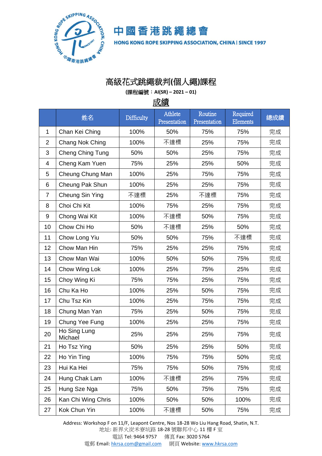

中國香港跳繩總會 HONG KONG ROPE SKIPPING ASSOCIATION, CHINA | SINCE 1997

## 高級花式跳繩裁判**(**個人繩**)**課程

**(**課程編號:**AI(SR) – 2021 – 01)**

成績

|                | 姓名                      | Difficulty | Athlete<br>Presentation | Routine<br>Presentation | Required<br><b>Elements</b> | 總成績 |
|----------------|-------------------------|------------|-------------------------|-------------------------|-----------------------------|-----|
| 1              | Chan Kei Ching          | 100%       | 50%                     | 75%                     | 75%                         | 完成  |
| $\overline{2}$ | Chang Nok Ching         | 100%       | 不達標                     | 25%                     | 75%                         | 完成  |
| 3              | Cheng Ching Tung        | 50%        | 50%                     | 25%                     | 75%                         | 完成  |
| $\overline{4}$ | Cheng Kam Yuen          | 75%        | 25%                     | 25%                     | 50%                         | 完成  |
| 5              | Cheung Chung Man        | 100%       | 25%                     | 75%                     | 75%                         | 完成  |
| 6              | Cheung Pak Shun         | 100%       | 25%                     | 25%                     | 75%                         | 完成  |
| $\overline{7}$ | Cheung Sin Ying         | 不達標        | 25%                     | 不達標                     | 75%                         | 完成  |
| 8              | Choi Chi Kit            | 100%       | 75%                     | 25%                     | 75%                         | 完成  |
| 9              | Chong Wai Kit           | 100%       | 不達標                     | 50%                     | 75%                         | 完成  |
| 10             | Chow Chi Ho             | 50%        | 不達標                     | 25%                     | 50%                         | 完成  |
| 11             | Chow Long Yiu           | 50%        | 50%                     | 75%                     | 不達標                         | 完成  |
| 12             | Chow Man Hin            | 75%        | 25%                     | 25%                     | 75%                         | 完成  |
| 13             | Chow Man Wai            | 100%       | 50%                     | 50%                     | 75%                         | 完成  |
| 14             | Chow Wing Lok           | 100%       | 25%                     | 75%                     | 25%                         | 完成  |
| 15             | Choy Wing Ki            | 75%        | 75%                     | 25%                     | 75%                         | 完成  |
| 16             | Chu Ka Ho               | 100%       | 25%                     | 50%                     | 75%                         | 完成  |
| 17             | Chu Tsz Kin             | 100%       | 25%                     | 75%                     | 75%                         | 完成  |
| 18             | Chung Man Yan           | 75%        | 25%                     | 50%                     | 75%                         | 完成  |
| 19             | Chung Yee Fung          | 100%       | 25%                     | 25%                     | 75%                         | 完成  |
| 20             | Ho Sing Lung<br>Michael | 25%        | 25%                     | 25%                     | 75%                         | 完成  |
| 21             | Ho Tsz Ying             | 50%        | 25%                     | 25%                     | 50%                         | 完成  |
| 22             | Ho Yin Ting             | 100%       | 75%                     | 75%                     | 50%                         | 完成  |
| 23             | Hui Ka Hei              | 75%        | 75%                     | 50%                     | 75%                         | 完成  |
| 24             | Hung Chak Lam           | 100%       | 不達標                     | 25%                     | 75%                         | 完成  |
| 25             | Hung Sze Nga            | 75%        | 50%                     | 75%                     | 75%                         | 完成  |
| 26             | Kan Chi Wing Chris      | 100%       | 50%                     | 50%                     | 100%                        | 完成  |
| 27             | Kok Chun Yin            | 100%       | 不達標                     | 50%                     | 75%                         | 完成  |

Address: Workshop F on 11/F, Leapont Centre, Nos 18-28 Wo Liu Hang Road, Shatin, N.T.

地址: 新界火炭禾寮坑路 18-28 號聯邦中心 11 樓 F 室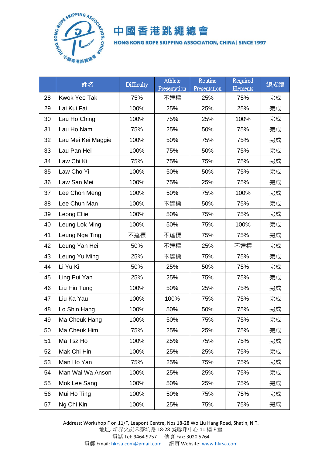

## 中國香港跳繩總會

HONG KONG ROPE SKIPPING ASSOCIATION, CHINA | SINCE 1997

|    | 姓名                  | Difficulty | Athlete<br>Presentation | Routine<br>Presentation | Required<br>Elements | 總成績 |
|----|---------------------|------------|-------------------------|-------------------------|----------------------|-----|
| 28 | <b>Kwok Yee Tak</b> | 75%        | 不達標                     | 25%                     | 75%                  | 完成  |
| 29 | Lai Kui Fai         | 100%       | 25%                     | 25%                     | 25%                  | 完成  |
| 30 | Lau Ho Ching        | 100%       | 75%                     | 25%                     | 100%                 | 完成  |
| 31 | Lau Ho Nam          | 75%        | 25%                     | 50%                     | 75%                  | 完成  |
| 32 | Lau Mei Kei Maggie  | 100%       | 50%                     | 75%                     | 75%                  | 完成  |
| 33 | Lau Pan Hei         | 100%       | 75%                     | 50%                     | 75%                  | 完成  |
| 34 | Law Chi Ki          | 75%        | 75%                     | 75%                     | 75%                  | 完成  |
| 35 | Law Cho Yi          | 100%       | 50%                     | 50%                     | 75%                  | 完成  |
| 36 | Law San Mei         | 100%       | 75%                     | 25%                     | 75%                  | 完成  |
| 37 | Lee Chon Meng       | 100%       | 50%                     | 75%                     | 100%                 | 完成  |
| 38 | Lee Chun Man        | 100%       | 不達標                     | 50%                     | 75%                  | 完成  |
| 39 | Leong Ellie         | 100%       | 50%                     | 75%                     | 75%                  | 完成  |
| 40 | Leung Lok Ming      | 100%       | 50%                     | 75%                     | 100%                 | 完成  |
| 41 | Leung Nga Ting      | 不達標        | 不達標                     | 75%                     | 75%                  | 完成  |
| 42 | Leung Yan Hei       | 50%        | 不達標                     | 25%                     | 不達標                  | 完成  |
| 43 | Leung Yu Ming       | 25%        | 不達標                     | 75%                     | 75%                  | 完成  |
| 44 | Li Yu Ki            | 50%        | 25%                     | 50%                     | 75%                  | 完成  |
| 45 | Ling Pui Yan        | 25%        | 25%                     | 75%                     | 75%                  | 完成  |
| 46 | Liu Hiu Tung        | 100%       | 50%                     | 25%                     | 75%                  | 完成  |
| 47 | Liu Ka Yau          | 100%       | 100%                    | 75%                     | 75%                  | 完成  |
| 48 | Lo Shin Hang        | 100%       | 50%                     | 50%                     | 75%                  | 完成  |
| 49 | Ma Cheuk Hang       | 100%       | 50%                     | 75%                     | 75%                  | 完成  |
| 50 | Ma Cheuk Him        | 75%        | 25%                     | 25%                     | 75%                  | 完成  |
| 51 | Ma Tsz Ho           | 100%       | 25%                     | 75%                     | 75%                  | 完成  |
| 52 | Mak Chi Hin         | 100%       | 25%                     | 25%                     | 75%                  | 完成  |
| 53 | Man Ho Yan          | 75%        | 25%                     | 75%                     | 75%                  | 完成  |
| 54 | Man Wai Wa Anson    | 100%       | 25%                     | 25%                     | 75%                  | 完成  |
| 55 | Mok Lee Sang        | 100%       | 50%                     | 25%                     | 75%                  | 完成  |
| 56 | Mui Ho Ting         | 100%       | 50%                     | 75%                     | 75%                  | 完成  |
| 57 | Ng Chi Kin          | 100%       | 25%                     | 75%                     | 75%                  | 完成  |

Address: Workshop F on 11/F, Leapont Centre, Nos 18-28 Wo Liu Hang Road, Shatin, N.T. 地址: 新界火炭禾寮坑路 18-28 號聯邦中心 11 樓 F 室 電話 Tel: 9464 9757 傳真 Fax: 3020 5764 電郵 Email[: hkrsa.com@gmail.com](mailto:hkrsa.com@gmail.com) 網頁 Website: [www.hkrsa.com](http://www.hkrsa.com/)